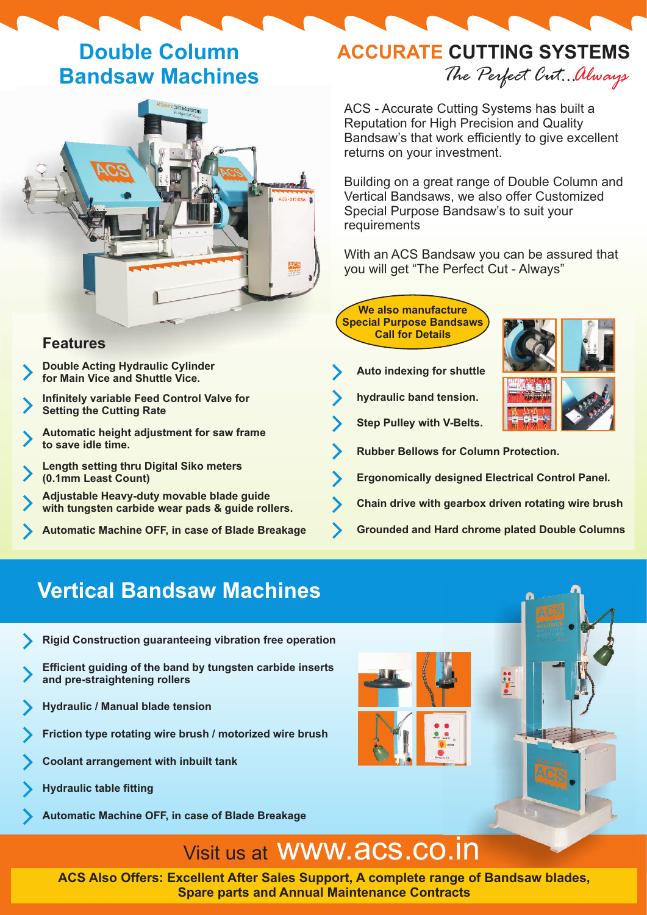## **Double Column Bandsaw Machines**



### **Features**

- **Double Acting Hydraulic Cylinder for Main Vice and Shuttle Vice.**
- **Infinitely variable Feed Control Valve for Setting the Cutting Rate**
- **Automatic height adjustment for saw frame to save idle time.**
- **Length setting thru Digital Siko meters (0.1mm Least Count)**
- **Adjustable Heavy-duty movable blade guide with tungsten carbide wear pads & guide rollers.**
- 

# **ACCURATE CUTTING SYSTEMS**

*The Perfect Cut...Always*

ACS - Accurate Cutting Systems has built a Reputation for High Precision and Quality Bandsaw's that work efficiently to give excellent returns on your investment.

Building on a great range of Double Column and Vertical Bandsaws, we also offer Customized Special Purpose Bandsaw's to suit your requirements

With an ACS Bandsaw you can be assured that you will get "The Perfect Cut - Always"

**We also manufacture Special Purpose Bandsaws Call for Details**

- **Auto indexing for shuttle**
- **hydraulic band tension.**

**Step Pulley with V-Belts.**



**Rubber Bellows for Column Protection.**

 $\bullet$   $\bullet$ 

- **Ergonomically designed Electrical Control Panel.**
- **Chain drive with gearbox driven rotating wire brush**
- **Automatic Machine OFF, in case of Blade Breakage Grounded and Hard chrome plated Double Columns**

### **Vertical Bandsaw Machines**

- **Rigid Construction guaranteeing vibration free operation**
- **Efficient guiding of the band by tungsten carbide inserts and pre-straightening rollers**
- **Hydraulic / Manual blade tension**
- **Friction type rotating wire brush / motorized wire brush**
- **Coolant arrangement with inbuilt tank**
- **Hydraulic table fitting**
- **Automatic Machine OFF, in case of Blade Breakage**

# Visit us at www.acs.co.in

**ACS Also Offers: Excellent After Sales Support, A complete range of Bandsaw blades, Spare parts and Annual Maintenance Contracts**